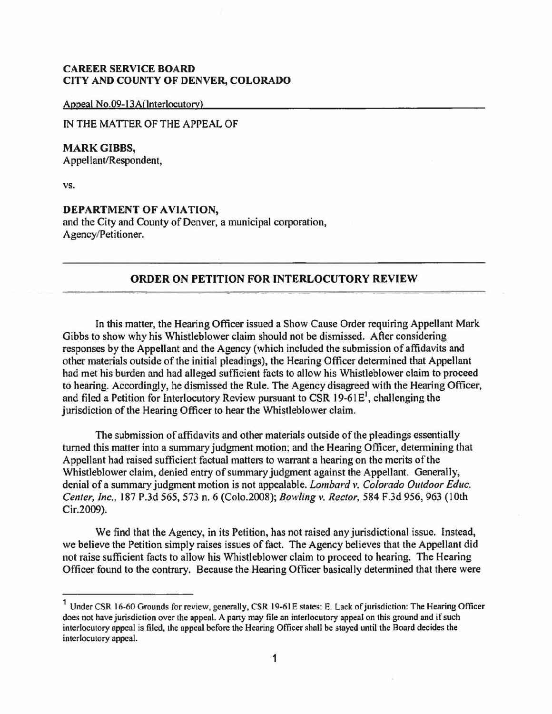## **CAREER SERVICE BOARD CITY AND COUNTY OF DENVER, COLORADO**

Appeal No.09-13A(Interlocutory)

lN THE MATTER OF THE APPEAL OF

**MARK GIBBS,**  Appellant/Respondent,

**vs.** 

## **DEPARTMENT OF AVIATION,**

and the City and County of Denver, a municipal corporation, Agency/Petitioner.

## **ORDER ON PETITION FOR INTERLOCUTORY REVIEW**

In this matter, the Hearing Officer issued a Show Cause Order requiring Appellant Mark Gibbs to show why his Whistleblower claim should not be dismissed. After considering responses by the Appellant and the Agency (which included the submission of affidavits and other materials outside of the initial pleadings), the Hearing Officer determined that Appellant had met his burden and had alleged sufficient facts to allow his Whistleblower claim to proceed to hearing. Accordingly, he dismissed the Rule. The Agency disagreed with the Hearing Officer, and filed a Petition for Interlocutory Review pursuant to CSR  $19-61E<sup>1</sup>$ , challenging the jurisdiction of the Hearing Officer to hear the Whistleblower claim.

The submission of affidavits and other materials outside of the pleadings essentially turned this matter into a summary judgment motion; and the Hearing Officer, determining that Appellant had raised sufficient factual matters to warrant a hearing on the merits of the Whistleblower claim, denied entry of summary judgment against the Appellant. Generally, denial of a summary judgment motion is not appealable. *Lombard v. Colorado Outdoor Educ. Center, Inc.,* 187 P.3d 565,573 n. 6 (Colo.2008); *Bowling v. Rector,* 584 F.3d 956, 963 (10th Cir.2009).

We find that the Agency, in its Petition, has not raised any jurisdictional issue. Instead, we believe the Petition simply raises issues of fact. The Agency believes that the Appellant did not raise sufficient facts to allow his Whistleblower claim to proceed to hearing. The Hearing Officer found to the contrary. Because the Hearing Officer basically determined that there were

<sup>&</sup>lt;sup>1</sup> Under CSR 16-60 Grounds for review, generally, CSR 19-61E states: E. Lack of jurisdiction: The Hearing Officer does not have jurisdiction over the appeal. A party may file an interlocutory appeal on this ground and if such interlocutory appeal is filed, the appeal before the Hearing Officer shall be stayed until the Board decides the interlocutory appeal.